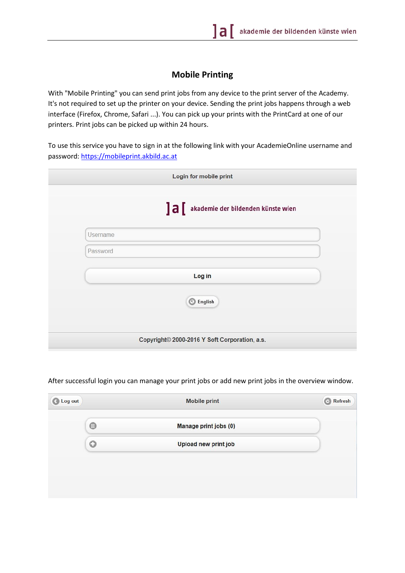## **Mobile Printing**

With "Mobile Printing" you can send print jobs from any device to the print server of the Academy. It's not required to set up the printer on your device. Sending the print jobs happens through a web interface (Firefox, Chrome, Safari ...). You can pick up your prints with the PrintCard at one of our printers. Print jobs can be picked up within 24 hours.

To use this service you have to sign in at the following link with your AcademieOnline username and password: [https://mobileprint.akbild.ac.at](https://mobileprint.akbild.ac.at/)

|          | ]a[<br>akademie der bildenden künste wien |
|----------|-------------------------------------------|
| Username |                                           |
| Password |                                           |
|          | Log in                                    |
|          | C English                                 |

After successful login you can manage your print jobs or add new print jobs in the overview window.

| <b>Mobile print</b>   | Refresh |
|-----------------------|---------|
| Manage print jobs (0) |         |
| Upload new print job  |         |
|                       |         |
|                       |         |
|                       |         |